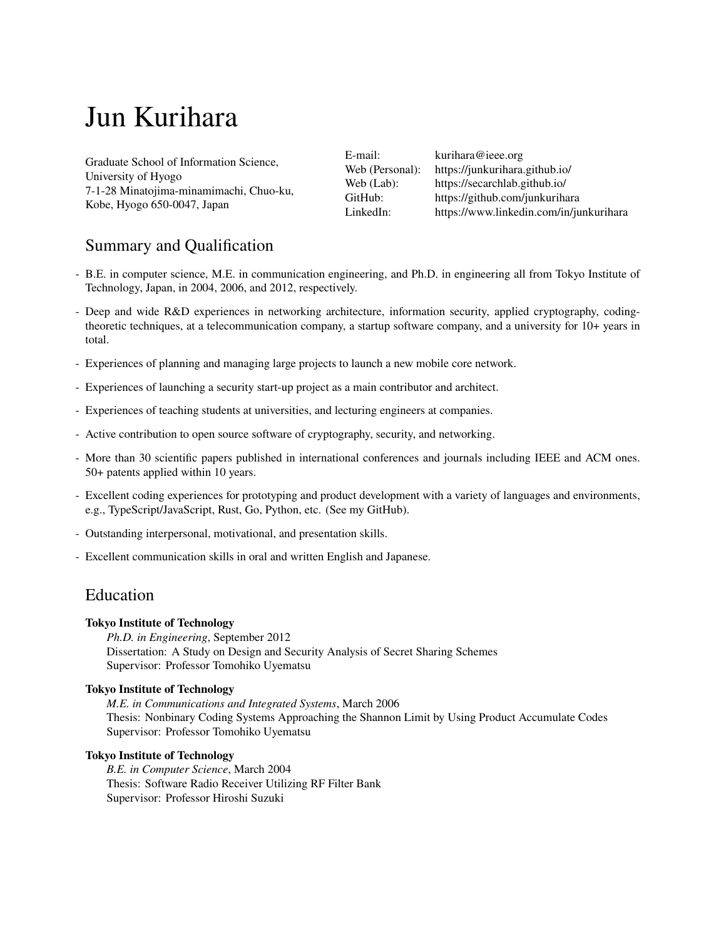# Jun Kurihara

Graduate School of Information Science, University of Hyogo 7-1-28 Minatojima-minamimachi, Chuo-ku, Kobe, Hyogo 650-0047, Japan

E-mail: [kurihara@ieee.org](mailto:kurihara@ieee.org) Web (Personal): <https://junkurihara.github.io/> Web (Lab): [https://secarchlab.github.io/](https://secarchlab.github.io) GitHub: <https://github.com/junkurihara> LinkedIn: <https://www.linkedin.com/in/junkurihara>

# Summary and Qualification

- B.E. in computer science, M.E. in communication engineering, and Ph.D. in engineering all from Tokyo Institute of Technology, Japan, in 2004, 2006, and 2012, respectively.
- Deep and wide R&D experiences in networking architecture, information security, applied cryptography, codingtheoretic techniques, at a telecommunication company, a startup software company, and a university for 10+ years in total.
- Experiences of planning and managing large projects to launch a new mobile core network.
- Experiences of launching a security start-up project as a main contributor and architect.
- Experiences of teaching students at universities, and lecturing engineers at companies.
- Active contribution to open source software of cryptography, security, and networking.
- More than 30 scientific papers published in international conferences and journals including IEEE and ACM ones. 50+ patents applied within 10 years.
- Excellent coding experiences for prototyping and product development with a variety of languages and environments, e.g., TypeScript/JavaScript, Rust, Go, Python, etc. (See my GitHub).
- Outstanding interpersonal, motivational, and presentation skills.
- Excellent communication skills in oral and written English and Japanese.

## Education

#### **Tokyo Institute of Technology**

*Ph.D. in Engineering*, September 2012 Dissertation: A Study on Design and Security Analysis of Secret Sharing Schemes Supervisor: Professor Tomohiko Uyematsu

#### **Tokyo Institute of Technology**

*M.E. in Communications and Integrated Systems*, March 2006 Thesis: Nonbinary Coding Systems Approaching the Shannon Limit by Using Product Accumulate Codes Supervisor: Professor Tomohiko Uyematsu

#### **Tokyo Institute of Technology**

*B.E. in Computer Science*, March 2004 Thesis: Software Radio Receiver Utilizing RF Filter Bank Supervisor: Professor Hiroshi Suzuki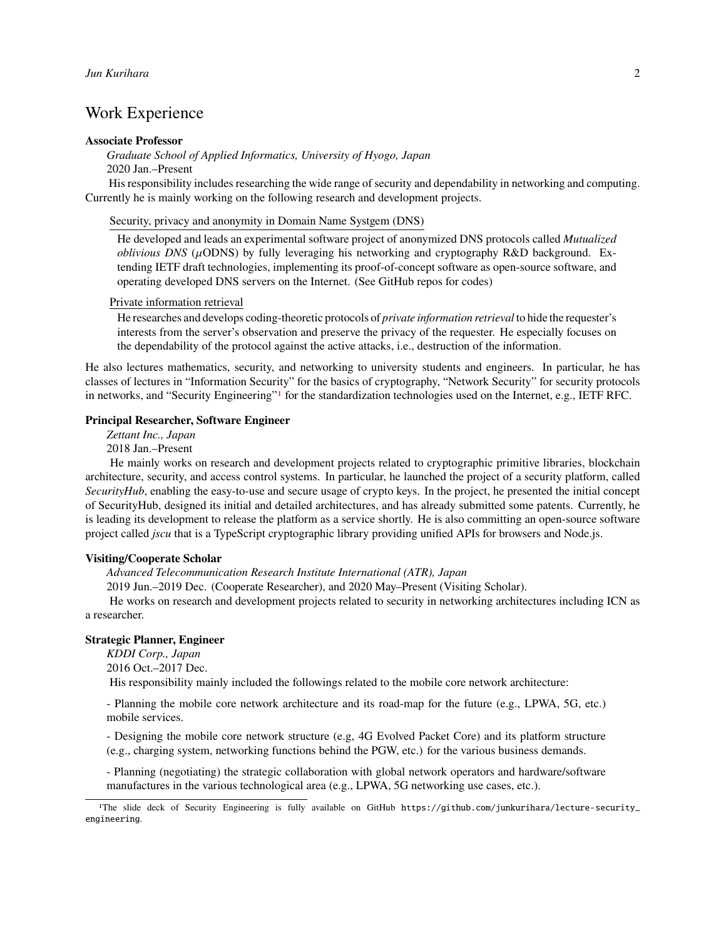# Work Experience

#### **Associate Professor**

### *Graduate School of Applied Informatics, University of Hyogo, Japan*

2020 Jan.–Present

His responsibility includes researching the wide range of security and dependability in networking and computing. Currently he is mainly working on the following research and development projects.

Security, privacy and anonymity in Domain Name Systgem (DNS)

He developed and leads an experimental software project of anonymized DNS protocols called *Mutualized oblivious DNS* ( $\mu$ ODNS) by fully leveraging his networking and cryptography R&D background. Extending IETF draft technologies, implementing its proof-of-concept software as open-source software, and operating developed DNS servers on the Internet. (See GitHub repos for codes)

#### Private information retrieval

He researches and develops coding-theoretic protocols of *private information retrieval* to hide the requester's interests from the server's observation and preserve the privacy of the requester. He especially focuses on the dependability of the protocol against the active attacks, i.e., destruction of the information.

He also lectures mathematics, security, and networking to university students and engineers. In particular, he has classes of lectures in "Information Security" for the basics of cryptography, "Network Security" for security protocols in networks, and "Security Engineering"[1](#page-1-0) for the standardization technologies used on the Internet, e.g., IETF RFC.

#### **Principal Researcher, Software Engineer**

*Zettant Inc., Japan*

2018 Jan.–Present

He mainly works on research and development projects related to cryptographic primitive libraries, blockchain architecture, security, and access control systems. In particular, he launched the project of a security platform, called *SecurityHub*, enabling the easy-to-use and secure usage of crypto keys. In the project, he presented the initial concept of SecurityHub, designed its initial and detailed architectures, and has already submitted some patents. Currently, he is leading its development to release the platform as a service shortly. He is also committing an open-source software project called *jscu* that is a TypeScript cryptographic library providing unified APIs for browsers and Node.js.

#### **Visiting/Cooperate Scholar**

*Advanced Telecommunication Research Institute International (ATR), Japan*

2019 Jun.–2019 Dec. (Cooperate Researcher), and 2020 May–Present (Visiting Scholar).

He works on research and development projects related to security in networking architectures including ICN as a researcher.

#### **Strategic Planner, Engineer**

*KDDI Corp., Japan*

2016 Oct.–2017 Dec.

His responsibility mainly included the followings related to the mobile core network architecture:

- Planning the mobile core network architecture and its road-map for the future (e.g., LPWA, 5G, etc.) mobile services.

- Designing the mobile core network structure (e.g, 4G Evolved Packet Core) and its platform structure (e.g., charging system, networking functions behind the PGW, etc.) for the various business demands.

- Planning (negotiating) the strategic collaboration with global network operators and hardware/software manufactures in the various technological area (e.g., LPWA, 5G networking use cases, etc.).

<span id="page-1-0"></span><sup>1</sup>The slide deck of Security Engineering is fully available on GitHub [https://github.com/junkurihara/lecture-security\\_](https://github.com/junkurihara/lecture-security_engineering) [engineering](https://github.com/junkurihara/lecture-security_engineering).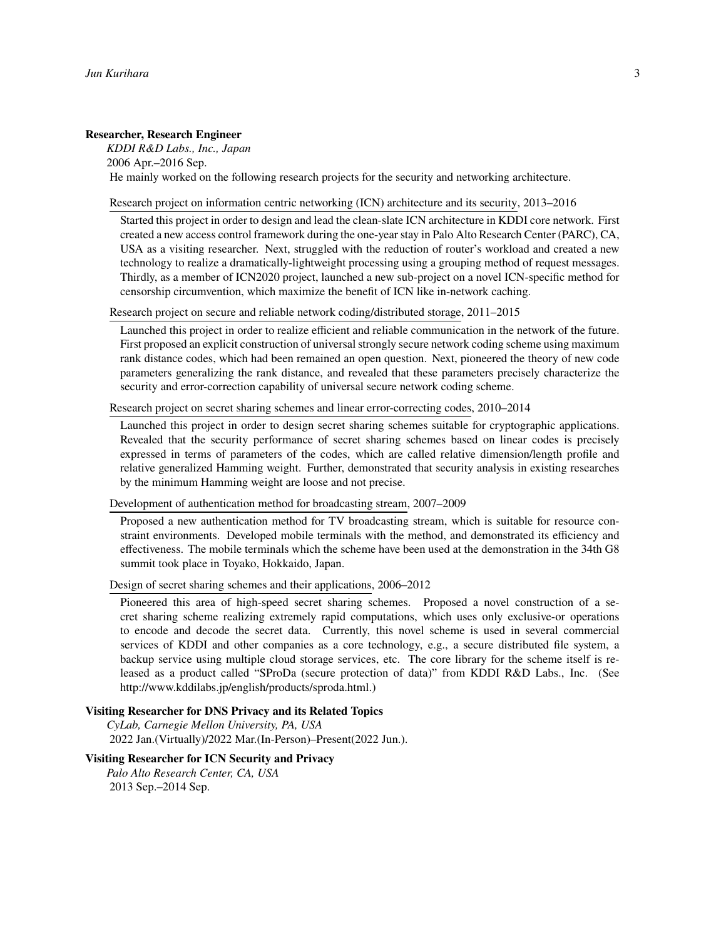#### **Researcher, Research Engineer**

*KDDI R&D Labs., Inc., Japan* 2006 Apr.–2016 Sep. He mainly worked on the following research projects for the security and networking architecture.

#### Research project on information centric networking (ICN) architecture and its security, 2013–2016

Started this project in order to design and lead the clean-slate ICN architecture in KDDI core network. First created a new access control framework during the one-year stay in Palo Alto Research Center (PARC), CA, USA as a visiting researcher. Next, struggled with the reduction of router's workload and created a new technology to realize a dramatically-lightweight processing using a grouping method of request messages. Thirdly, as a member of ICN2020 project, launched a new sub-project on a novel ICN-specific method for censorship circumvention, which maximize the benefit of ICN like in-network caching.

Research project on secure and reliable network coding/distributed storage, 2011–2015

Launched this project in order to realize efficient and reliable communication in the network of the future. First proposed an explicit construction of universal strongly secure network coding scheme using maximum rank distance codes, which had been remained an open question. Next, pioneered the theory of new code parameters generalizing the rank distance, and revealed that these parameters precisely characterize the security and error-correction capability of universal secure network coding scheme.

Research project on secret sharing schemes and linear error-correcting codes, 2010–2014

Launched this project in order to design secret sharing schemes suitable for cryptographic applications. Revealed that the security performance of secret sharing schemes based on linear codes is precisely expressed in terms of parameters of the codes, which are called relative dimension/length profile and relative generalized Hamming weight. Further, demonstrated that security analysis in existing researches by the minimum Hamming weight are loose and not precise.

Development of authentication method for broadcasting stream, 2007–2009

Proposed a new authentication method for TV broadcasting stream, which is suitable for resource constraint environments. Developed mobile terminals with the method, and demonstrated its efficiency and effectiveness. The mobile terminals which the scheme have been used at the demonstration in the 34th G8 summit took place in Toyako, Hokkaido, Japan.

Design of secret sharing schemes and their applications, 2006–2012

Pioneered this area of high-speed secret sharing schemes. Proposed a novel construction of a secret sharing scheme realizing extremely rapid computations, which uses only exclusive-or operations to encode and decode the secret data. Currently, this novel scheme is used in several commercial services of KDDI and other companies as a core technology, e.g., a secure distributed file system, a backup service using multiple cloud storage services, etc. The core library for the scheme itself is released as a product called "SProDa (secure protection of data)" from KDDI R&D Labs., Inc. (See [http://www.kddilabs.jp/english/products/sproda.html.](http://www.kddilabs.jp/english/products/sproda.html))

#### **Visiting Researcher for DNS Privacy and its Related Topics**

*CyLab, Carnegie Mellon University, PA, USA* 2022 Jan.(Virtually)/2022 Mar.(In-Person)–Present(2022 Jun.).

#### **Visiting Researcher for ICN Security and Privacy**

*Palo Alto Research Center, CA, USA* 2013 Sep.–2014 Sep.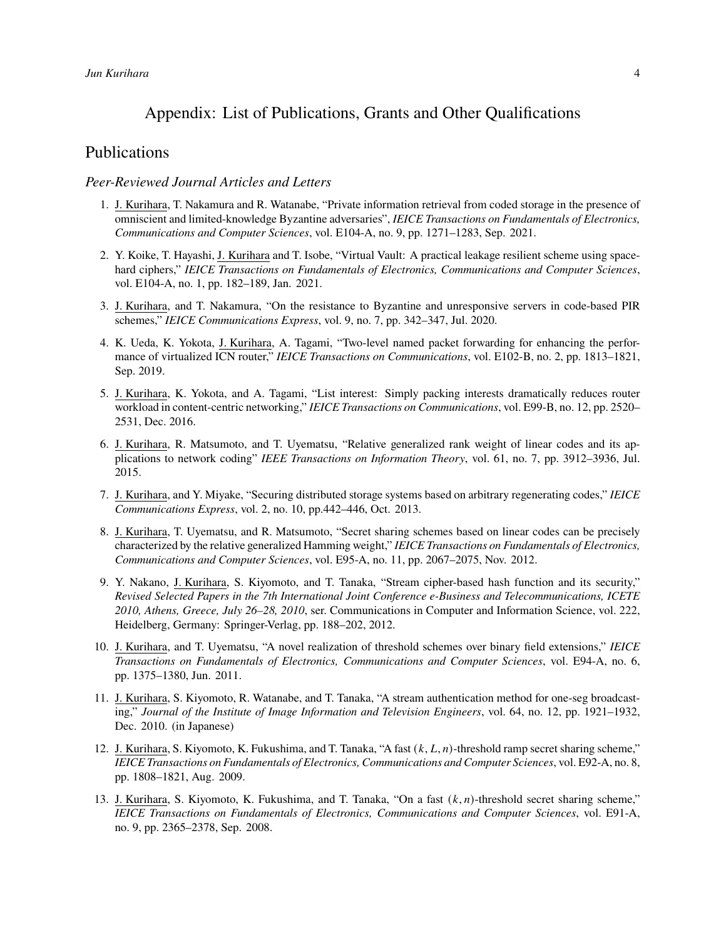# Appendix: List of Publications, Grants and Other Qualifications

## Publications

#### *Peer-Reviewed Journal Articles and Letters*

- 1. J. Kurihara, T. Nakamura and R. Watanabe, "Private information retrieval from coded storage in the presence of omniscient and limited-knowledge Byzantine adversaries", *IEICE Transactions on Fundamentals of Electronics, Communications and Computer Sciences*, vol. E104-A, no. 9, pp. 1271–1283, Sep. 2021.
- 2. Y. Koike, T. Hayashi, J. Kurihara and T. Isobe, "Virtual Vault: A practical leakage resilient scheme using spacehard ciphers," *IEICE Transactions on Fundamentals of Electronics, Communications and Computer Sciences*, vol. E104-A, no. 1, pp. 182–189, Jan. 2021.
- 3. J. Kurihara, and T. Nakamura, "On the resistance to Byzantine and unresponsive servers in code-based PIR schemes," *IEICE Communications Express*, vol. 9, no. 7, pp. 342–347, Jul. 2020.
- 4. K. Ueda, K. Yokota, J. Kurihara, A. Tagami, "Two-level named packet forwarding for enhancing the performance of virtualized ICN router," *IEICE Transactions on Communications*, vol. E102-B, no. 2, pp. 1813–1821, Sep. 2019.
- 5. J. Kurihara, K. Yokota, and A. Tagami, "List interest: Simply packing interests dramatically reduces router workload in content-centric networking," *IEICE Transactions on Communications*, vol. E99-B, no. 12, pp. 2520– 2531, Dec. 2016.
- 6. J. Kurihara, R. Matsumoto, and T. Uyematsu, "Relative generalized rank weight of linear codes and its applications to network coding" *IEEE Transactions on Information Theory*, vol. 61, no. 7, pp. 3912–3936, Jul. 2015.
- 7. J. Kurihara, and Y. Miyake, "Securing distributed storage systems based on arbitrary regenerating codes," *IEICE Communications Express*, vol. 2, no. 10, pp.442–446, Oct. 2013.
- 8. J. Kurihara, T. Uyematsu, and R. Matsumoto, "Secret sharing schemes based on linear codes can be precisely characterized by the relative generalized Hamming weight," *IEICE Transactions on Fundamentals of Electronics, Communications and Computer Sciences*, vol. E95-A, no. 11, pp. 2067–2075, Nov. 2012.
- 9. Y. Nakano, J. Kurihara, S. Kiyomoto, and T. Tanaka, "Stream cipher-based hash function and its security," *Revised Selected Papers in the 7th International Joint Conference e-Business and Telecommunications, ICETE 2010, Athens, Greece, July 26–28, 2010*, ser. Communications in Computer and Information Science, vol. 222, Heidelberg, Germany: Springer-Verlag, pp. 188–202, 2012.
- 10. J. Kurihara, and T. Uyematsu, "A novel realization of threshold schemes over binary field extensions," *IEICE Transactions on Fundamentals of Electronics, Communications and Computer Sciences*, vol. E94-A, no. 6, pp. 1375–1380, Jun. 2011.
- 11. J. Kurihara, S. Kiyomoto, R. Watanabe, and T. Tanaka, "A stream authentication method for one-seg broadcasting," *Journal of the Institute of Image Information and Television Engineers*, vol. 64, no. 12, pp. 1921–1932, Dec. 2010. (in Japanese)
- 12. J. Kurihara, S. Kiyomoto, K. Fukushima, and T. Tanaka, "A fast  $(k, L, n)$ -threshold ramp secret sharing scheme," *IEICE Transactions on Fundamentals of Electronics, Communications and Computer Sciences*, vol. E92-A, no. 8, pp. 1808–1821, Aug. 2009.
- 13. J. Kurihara, S. Kiyomoto, K. Fukushima, and T. Tanaka, "On a fast  $(k, n)$ -threshold secret sharing scheme," *IEICE Transactions on Fundamentals of Electronics, Communications and Computer Sciences*, vol. E91-A, no. 9, pp. 2365–2378, Sep. 2008.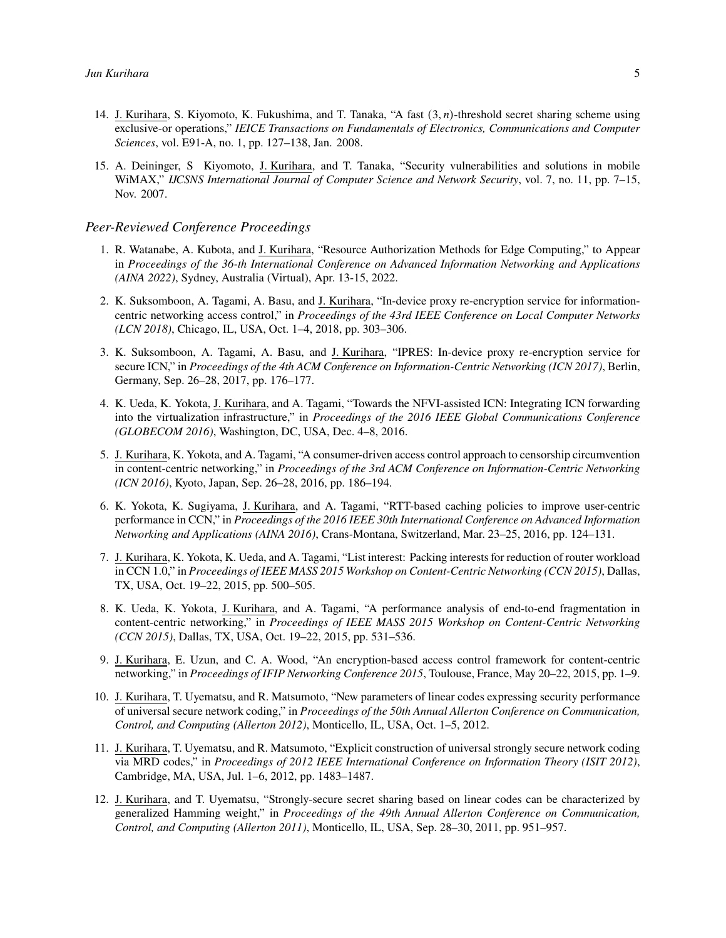- 14. J. Kurihara, S. Kiyomoto, K. Fukushima, and T. Tanaka, "A fast  $(3, n)$ -threshold secret sharing scheme using exclusive-or operations," *IEICE Transactions on Fundamentals of Electronics, Communications and Computer Sciences*, vol. E91-A, no. 1, pp. 127–138, Jan. 2008.
- 15. A. Deininger, S Kiyomoto, J. Kurihara, and T. Tanaka, "Security vulnerabilities and solutions in mobile WiMAX," *IJCSNS International Journal of Computer Science and Network Security*, vol. 7, no. 11, pp. 7–15, Nov. 2007.

#### *Peer-Reviewed Conference Proceedings*

- 1. R. Watanabe, A. Kubota, and J. Kurihara, "Resource Authorization Methods for Edge Computing," to Appear in *Proceedings of the 36-th International Conference on Advanced Information Networking and Applications (AINA 2022)*, Sydney, Australia (Virtual), Apr. 13-15, 2022.
- 2. K. Suksomboon, A. Tagami, A. Basu, and J. Kurihara, "In-device proxy re-encryption service for informationcentric networking access control," in *Proceedings of the 43rd IEEE Conference on Local Computer Networks (LCN 2018)*, Chicago, IL, USA, Oct. 1–4, 2018, pp. 303–306.
- 3. K. Suksomboon, A. Tagami, A. Basu, and J. Kurihara, "IPRES: In-device proxy re-encryption service for secure ICN," in *Proceedings of the 4th ACM Conference on Information-Centric Networking (ICN 2017)*, Berlin, Germany, Sep. 26–28, 2017, pp. 176–177.
- 4. K. Ueda, K. Yokota, J. Kurihara, and A. Tagami, "Towards the NFVI-assisted ICN: Integrating ICN forwarding into the virtualization infrastructure," in *Proceedings of the 2016 IEEE Global Communications Conference (GLOBECOM 2016)*, Washington, DC, USA, Dec. 4–8, 2016.
- 5. J. Kurihara, K. Yokota, and A. Tagami, "A consumer-driven access control approach to censorship circumvention in content-centric networking," in *Proceedings of the 3rd ACM Conference on Information-Centric Networking (ICN 2016)*, Kyoto, Japan, Sep. 26–28, 2016, pp. 186–194.
- 6. K. Yokota, K. Sugiyama, J. Kurihara, and A. Tagami, "RTT-based caching policies to improve user-centric performance in CCN," in *Proceedings of the 2016 IEEE 30th International Conference on Advanced Information Networking and Applications (AINA 2016)*, Crans-Montana, Switzerland, Mar. 23–25, 2016, pp. 124–131.
- 7. J. Kurihara, K. Yokota, K. Ueda, and A. Tagami, "List interest: Packing interests for reduction of router workload in CCN 1.0," in *Proceedings of IEEE MASS 2015 Workshop on Content-Centric Networking (CCN 2015)*, Dallas, TX, USA, Oct. 19–22, 2015, pp. 500–505.
- 8. K. Ueda, K. Yokota, J. Kurihara, and A. Tagami, "A performance analysis of end-to-end fragmentation in content-centric networking," in *Proceedings of IEEE MASS 2015 Workshop on Content-Centric Networking (CCN 2015)*, Dallas, TX, USA, Oct. 19–22, 2015, pp. 531–536.
- 9. J. Kurihara, E. Uzun, and C. A. Wood, "An encryption-based access control framework for content-centric networking," in *Proceedings of IFIP Networking Conference 2015*, Toulouse, France, May 20–22, 2015, pp. 1–9.
- 10. J. Kurihara, T. Uyematsu, and R. Matsumoto, "New parameters of linear codes expressing security performance of universal secure network coding," in *Proceedings of the 50th Annual Allerton Conference on Communication, Control, and Computing (Allerton 2012)*, Monticello, IL, USA, Oct. 1–5, 2012.
- 11. J. Kurihara, T. Uyematsu, and R. Matsumoto, "Explicit construction of universal strongly secure network coding via MRD codes," in *Proceedings of 2012 IEEE International Conference on Information Theory (ISIT 2012)*, Cambridge, MA, USA, Jul. 1–6, 2012, pp. 1483–1487.
- 12. J. Kurihara, and T. Uyematsu, "Strongly-secure secret sharing based on linear codes can be characterized by generalized Hamming weight," in *Proceedings of the 49th Annual Allerton Conference on Communication, Control, and Computing (Allerton 2011)*, Monticello, IL, USA, Sep. 28–30, 2011, pp. 951–957.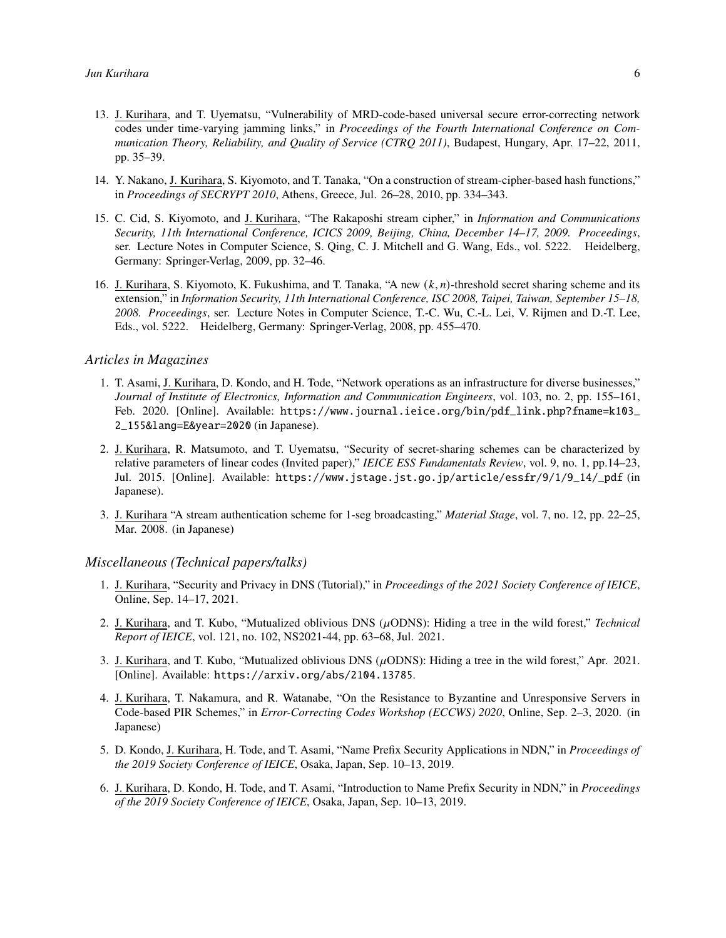- 13. J. Kurihara, and T. Uyematsu, "Vulnerability of MRD-code-based universal secure error-correcting network codes under time-varying jamming links," in *Proceedings of the Fourth International Conference on Communication Theory, Reliability, and Quality of Service (CTRQ 2011)*, Budapest, Hungary, Apr. 17–22, 2011, pp. 35–39.
- 14. Y. Nakano, J. Kurihara, S. Kiyomoto, and T. Tanaka, "On a construction of stream-cipher-based hash functions," in *Proceedings of SECRYPT 2010*, Athens, Greece, Jul. 26–28, 2010, pp. 334–343.
- 15. C. Cid, S. Kiyomoto, and J. Kurihara, "The Rakaposhi stream cipher," in *Information and Communications Security, 11th International Conference, ICICS 2009, Beijing, China, December 14–17, 2009. Proceedings*, ser. Lecture Notes in Computer Science, S. Qing, C. J. Mitchell and G. Wang, Eds., vol. 5222. Heidelberg, Germany: Springer-Verlag, 2009, pp. 32–46.
- 16. J. Kurihara, S. Kiyomoto, K. Fukushima, and T. Tanaka, "A new  $(k, n)$ -threshold secret sharing scheme and its extension," in *Information Security, 11th International Conference, ISC 2008, Taipei, Taiwan, September 15–18, 2008. Proceedings*, ser. Lecture Notes in Computer Science, T.-C. Wu, C.-L. Lei, V. Rijmen and D.-T. Lee, Eds., vol. 5222. Heidelberg, Germany: Springer-Verlag, 2008, pp. 455–470.

#### *Articles in Magazines*

- 1. T. Asami, J. Kurihara, D. Kondo, and H. Tode, "Network operations as an infrastructure for diverse businesses," *Journal of Institute of Electronics, Information and Communication Engineers*, vol. 103, no. 2, pp. 155–161, Feb. 2020. [Online]. Available: [https://www.journal.ieice.org/bin/pdf\\_link.php?fname=k103\\_](https://www.journal.ieice.org/bin/pdf_link.php?fname=k103_2_155&lang=E&year=2020) [2\\_155&lang=E&year=2020](https://www.journal.ieice.org/bin/pdf_link.php?fname=k103_2_155&lang=E&year=2020) (in Japanese).
- 2. J. Kurihara, R. Matsumoto, and T. Uyematsu, "Security of secret-sharing schemes can be characterized by relative parameters of linear codes (Invited paper)," *IEICE ESS Fundamentals Review*, vol. 9, no. 1, pp.14–23, Jul. 2015. [Online]. Available: [https://www.jstage.jst.go.jp/article/essfr/9/1/9\\_14/\\_pdf](https://www.jstage.jst.go.jp/article/essfr/9/1/9_14/_pdf) (in Japanese).
- 3. J. Kurihara "A stream authentication scheme for 1-seg broadcasting," *Material Stage*, vol. 7, no. 12, pp. 22–25, Mar. 2008. (in Japanese)

#### *Miscellaneous (Technical papers/talks)*

- 1. J. Kurihara, "Security and Privacy in DNS (Tutorial)," in *Proceedings of the 2021 Society Conference of IEICE*, Online, Sep. 14–17, 2021.
- 2. J. Kurihara, and T. Kubo, "Mutualized oblivious DNS  $(\mu$ ODNS): Hiding a tree in the wild forest," *Technical Report of IEICE*, vol. 121, no. 102, NS2021-44, pp. 63–68, Jul. 2021.
- 3. J. Kurihara, and T. Kubo, "Mutualized oblivious DNS ( $\mu$ ODNS): Hiding a tree in the wild forest," Apr. 2021. [Online]. Available: <https://arxiv.org/abs/2104.13785>.
- 4. J. Kurihara, T. Nakamura, and R. Watanabe, "On the Resistance to Byzantine and Unresponsive Servers in Code-based PIR Schemes," in *Error-Correcting Codes Workshop (ECCWS) 2020*, Online, Sep. 2–3, 2020. (in Japanese)
- 5. D. Kondo, J. Kurihara, H. Tode, and T. Asami, "Name Prefix Security Applications in NDN," in *Proceedings of the 2019 Society Conference of IEICE*, Osaka, Japan, Sep. 10–13, 2019.
- 6. J. Kurihara, D. Kondo, H. Tode, and T. Asami, "Introduction to Name Prefix Security in NDN," in *Proceedings of the 2019 Society Conference of IEICE*, Osaka, Japan, Sep. 10–13, 2019.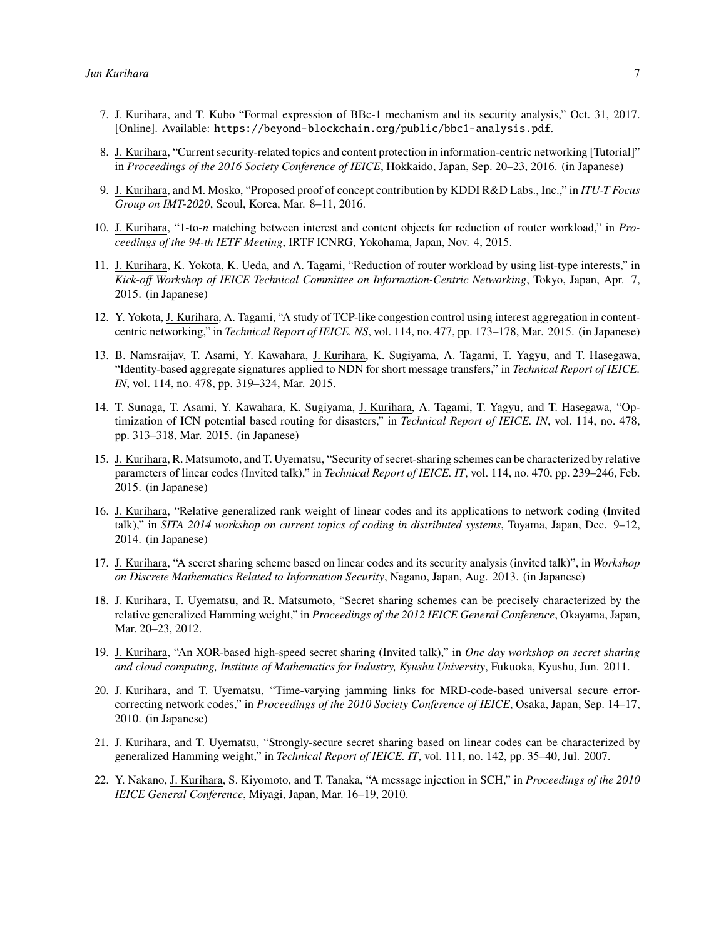- 7. J. Kurihara, and T. Kubo "Formal expression of BBc-1 mechanism and its security analysis," Oct. 31, 2017. [Online]. Available: <https://beyond-blockchain.org/public/bbc1-analysis.pdf>.
- 8. J. Kurihara, "Current security-related topics and content protection in information-centric networking [Tutorial]" in *Proceedings of the 2016 Society Conference of IEICE*, Hokkaido, Japan, Sep. 20–23, 2016. (in Japanese)
- 9. J. Kurihara, and M. Mosko, "Proposed proof of concept contribution by KDDI R&D Labs., Inc.," in *ITU-T Focus Group on IMT-2020*, Seoul, Korea, Mar. 8–11, 2016.
- 10. J. Kurihara, "1-to-n matching between interest and content objects for reduction of router workload," in *Proceedings of the 94-th IETF Meeting*, IRTF ICNRG, Yokohama, Japan, Nov. 4, 2015.
- 11. J. Kurihara, K. Yokota, K. Ueda, and A. Tagami, "Reduction of router workload by using list-type interests," in *Kick-off Workshop of IEICE Technical Committee on Information-Centric Networking*, Tokyo, Japan, Apr. 7, 2015. (in Japanese)
- 12. Y. Yokota, J. Kurihara, A. Tagami, "A study of TCP-like congestion control using interest aggregation in contentcentric networking," in *Technical Report of IEICE. NS*, vol. 114, no. 477, pp. 173–178, Mar. 2015. (in Japanese)
- 13. B. Namsraijav, T. Asami, Y. Kawahara, J. Kurihara, K. Sugiyama, A. Tagami, T. Yagyu, and T. Hasegawa, "Identity-based aggregate signatures applied to NDN for short message transfers," in *Technical Report of IEICE. IN*, vol. 114, no. 478, pp. 319–324, Mar. 2015.
- 14. T. Sunaga, T. Asami, Y. Kawahara, K. Sugiyama, J. Kurihara, A. Tagami, T. Yagyu, and T. Hasegawa, "Optimization of ICN potential based routing for disasters," in *Technical Report of IEICE. IN*, vol. 114, no. 478, pp. 313–318, Mar. 2015. (in Japanese)
- 15. J. Kurihara, R. Matsumoto, and T. Uyematsu, "Security of secret-sharing schemes can be characterized by relative parameters of linear codes (Invited talk)," in *Technical Report of IEICE. IT*, vol. 114, no. 470, pp. 239–246, Feb. 2015. (in Japanese)
- 16. J. Kurihara, "Relative generalized rank weight of linear codes and its applications to network coding (Invited talk)," in *SITA 2014 workshop on current topics of coding in distributed systems*, Toyama, Japan, Dec. 9–12, 2014. (in Japanese)
- 17. J. Kurihara, "A secret sharing scheme based on linear codes and its security analysis (invited talk)", in *Workshop on Discrete Mathematics Related to Information Security*, Nagano, Japan, Aug. 2013. (in Japanese)
- 18. J. Kurihara, T. Uyematsu, and R. Matsumoto, "Secret sharing schemes can be precisely characterized by the relative generalized Hamming weight," in *Proceedings of the 2012 IEICE General Conference*, Okayama, Japan, Mar. 20–23, 2012.
- 19. J. Kurihara, "An XOR-based high-speed secret sharing (Invited talk)," in *One day workshop on secret sharing and cloud computing, Institute of Mathematics for Industry, Kyushu University*, Fukuoka, Kyushu, Jun. 2011.
- 20. J. Kurihara, and T. Uyematsu, "Time-varying jamming links for MRD-code-based universal secure errorcorrecting network codes," in *Proceedings of the 2010 Society Conference of IEICE*, Osaka, Japan, Sep. 14–17, 2010. (in Japanese)
- 21. J. Kurihara, and T. Uyematsu, "Strongly-secure secret sharing based on linear codes can be characterized by generalized Hamming weight," in *Technical Report of IEICE. IT*, vol. 111, no. 142, pp. 35–40, Jul. 2007.
- 22. Y. Nakano, J. Kurihara, S. Kiyomoto, and T. Tanaka, "A message injection in SCH," in *Proceedings of the 2010 IEICE General Conference*, Miyagi, Japan, Mar. 16–19, 2010.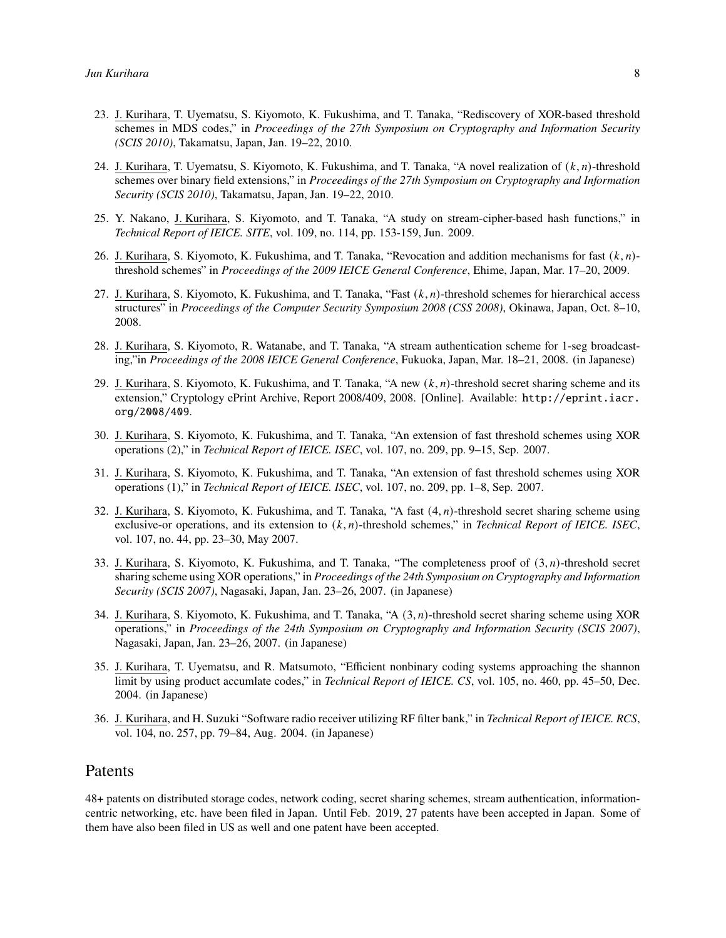- 23. J. Kurihara, T. Uyematsu, S. Kiyomoto, K. Fukushima, and T. Tanaka, "Rediscovery of XOR-based threshold schemes in MDS codes," in *Proceedings of the 27th Symposium on Cryptography and Information Security (SCIS 2010)*, Takamatsu, Japan, Jan. 19–22, 2010.
- 24. J. Kurihara, T. Uyematsu, S. Kiyomoto, K. Fukushima, and T. Tanaka, "A novel realization of  $(k, n)$ -threshold schemes over binary field extensions," in *Proceedings of the 27th Symposium on Cryptography and Information Security (SCIS 2010)*, Takamatsu, Japan, Jan. 19–22, 2010.
- 25. Y. Nakano, J. Kurihara, S. Kiyomoto, and T. Tanaka, "A study on stream-cipher-based hash functions," in *Technical Report of IEICE. SITE*, vol. 109, no. 114, pp. 153-159, Jun. 2009.
- 26. J. Kurihara, S. Kiyomoto, K. Fukushima, and T. Tanaka, "Revocation and addition mechanisms for fast  $(k, n)$ threshold schemes" in *Proceedings of the 2009 IEICE General Conference*, Ehime, Japan, Mar. 17–20, 2009.
- 27. J. Kurihara, S. Kiyomoto, K. Fukushima, and T. Tanaka, "Fast  $(k, n)$ -threshold schemes for hierarchical access structures" in *Proceedings of the Computer Security Symposium 2008 (CSS 2008)*, Okinawa, Japan, Oct. 8–10, 2008.
- 28. J. Kurihara, S. Kiyomoto, R. Watanabe, and T. Tanaka, "A stream authentication scheme for 1-seg broadcasting,"in *Proceedings of the 2008 IEICE General Conference*, Fukuoka, Japan, Mar. 18–21, 2008. (in Japanese)
- 29. J. Kurihara, S. Kiyomoto, K. Fukushima, and T. Tanaka, "A new  $(k, n)$ -threshold secret sharing scheme and its extension," Cryptology ePrint Archive, Report 2008/409, 2008. [Online]. Available: [http://eprint.iacr.](http://eprint.iacr.org/2008/409) [org/2008/409](http://eprint.iacr.org/2008/409).
- 30. J. Kurihara, S. Kiyomoto, K. Fukushima, and T. Tanaka, "An extension of fast threshold schemes using XOR operations (2)," in *Technical Report of IEICE. ISEC*, vol. 107, no. 209, pp. 9–15, Sep. 2007.
- 31. J. Kurihara, S. Kiyomoto, K. Fukushima, and T. Tanaka, "An extension of fast threshold schemes using XOR operations (1)," in *Technical Report of IEICE. ISEC*, vol. 107, no. 209, pp. 1–8, Sep. 2007.
- 32. J. Kurihara, S. Kiyomoto, K. Fukushima, and T. Tanaka, "A fast  $(4, n)$ -threshold secret sharing scheme using exclusive-or operations, and its extension to  $(k, n)$ -threshold schemes," in *Technical Report of IEICE. ISEC*, vol. 107, no. 44, pp. 23–30, May 2007.
- 33. J. Kurihara, S. Kiyomoto, K. Fukushima, and T. Tanaka, "The completeness proof of  $(3, n)$ -threshold secret sharing scheme using XOR operations," in *Proceedings of the 24th Symposium on Cryptography and Information Security (SCIS 2007)*, Nagasaki, Japan, Jan. 23–26, 2007. (in Japanese)
- 34. J. Kurihara, S. Kiyomoto, K. Fukushima, and T. Tanaka, "A (3, n)-threshold secret sharing scheme using XOR operations," in *Proceedings of the 24th Symposium on Cryptography and Information Security (SCIS 2007)*, Nagasaki, Japan, Jan. 23–26, 2007. (in Japanese)
- 35. J. Kurihara, T. Uyematsu, and R. Matsumoto, "Efficient nonbinary coding systems approaching the shannon limit by using product accumlate codes," in *Technical Report of IEICE. CS*, vol. 105, no. 460, pp. 45–50, Dec. 2004. (in Japanese)
- 36. J. Kurihara, and H. Suzuki "Software radio receiver utilizing RF filter bank," in *Technical Report of IEICE. RCS*, vol. 104, no. 257, pp. 79–84, Aug. 2004. (in Japanese)

## Patents

48+ patents on distributed storage codes, network coding, secret sharing schemes, stream authentication, informationcentric networking, etc. have been filed in Japan. Until Feb. 2019, 27 patents have been accepted in Japan. Some of them have also been filed in US as well and one patent have been accepted.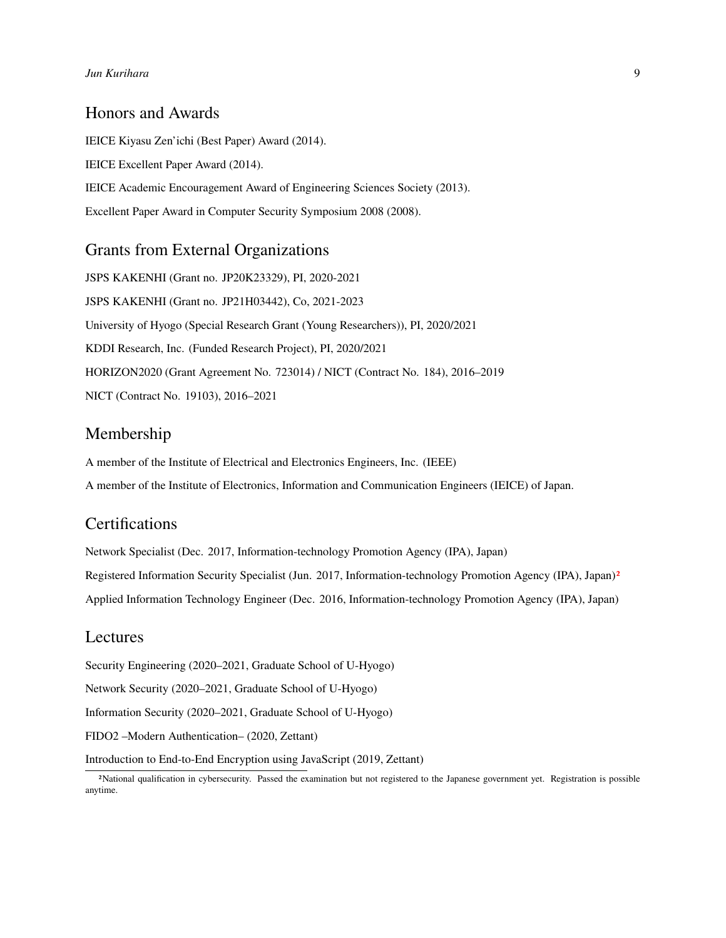## Honors and Awards

IEICE Kiyasu Zen'ichi (Best Paper) Award (2014). IEICE Excellent Paper Award (2014). IEICE Academic Encouragement Award of Engineering Sciences Society (2013). Excellent Paper Award in Computer Security Symposium 2008 (2008).

# Grants from External Organizations

JSPS KAKENHI (Grant no. JP20K23329), PI, 2020-2021 JSPS KAKENHI (Grant no. JP21H03442), Co, 2021-2023 University of Hyogo (Special Research Grant (Young Researchers)), PI, 2020/2021 KDDI Research, Inc. (Funded Research Project), PI, 2020/2021 HORIZON2020 (Grant Agreement No. 723014) / NICT (Contract No. 184), 2016–2019 NICT (Contract No. 19103), 2016–2021

## Membership

A member of the Institute of Electrical and Electronics Engineers, Inc. (IEEE) A member of the Institute of Electronics, Information and Communication Engineers (IEICE) of Japan.

# **Certifications**

Network Specialist (Dec. 2017, Information-technology Promotion Agency (IPA), Japan) Registered Information Security Specialist (Jun. [2](#page-8-0)017, Information-technology Promotion Agency (IPA), Japan)<sup>2</sup> Applied Information Technology Engineer (Dec. 2016, Information-technology Promotion Agency (IPA), Japan)

## Lectures

Security Engineering (2020–2021, Graduate School of U-Hyogo)

Network Security (2020–2021, Graduate School of U-Hyogo)

Information Security (2020–2021, Graduate School of U-Hyogo)

FIDO2 –Modern Authentication– (2020, Zettant)

Introduction to End-to-End Encryption using JavaScript (2019, Zettant)

<span id="page-8-0"></span><sup>2</sup>National qualification in cybersecurity. Passed the examination but not registered to the Japanese government yet. Registration is possible anytime.